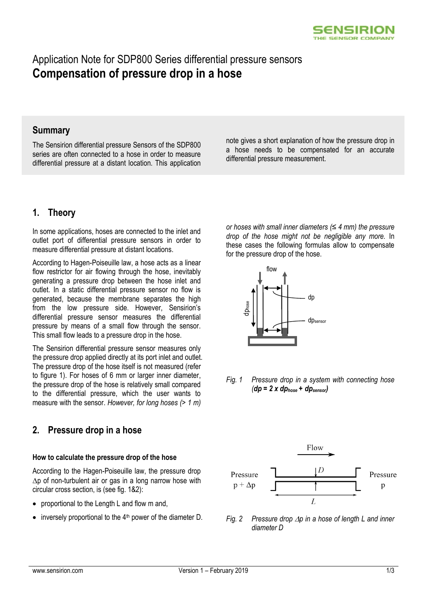

# Application Note for SDP800 Series differential pressure sensors **Compensation of pressure drop in a hose**

### **Summary**

The Sensirion differential pressure Sensors of the SDP800 series are often connected to a hose in order to measure differential pressure at a distant location. This application note gives a short explanation of how the pressure drop in a hose needs to be compensated for an accurate differential pressure measurement.

# **1. Theory**

In some applications, hoses are connected to the inlet and outlet port of differential pressure sensors in order to measure differential pressure at distant locations.

According to Hagen-Poiseuille law, a hose acts as a linear flow restrictor for air flowing through the hose, inevitably generating a pressure drop between the hose inlet and outlet. In a static differential pressure sensor no flow is generated, because the membrane separates the high from the low pressure side. However, Sensirion's differential pressure sensor measures the differential pressure by means of a small flow through the sensor. This small flow leads to a pressure drop in the hose.

The Sensirion differential pressure sensor measures only the pressure drop applied directly at its port inlet and outlet. The pressure drop of the hose itself is not measured (refer to figure 1). For hoses of 6 mm or larger inner diameter, the pressure drop of the hose is relatively small compared to the differential pressure, which the user wants to measure with the sensor. *However, for long hoses (> 1 m)*

## **2. Pressure drop in a hose**

#### **How to calculate the pressure drop of the hose**

According to the Hagen-Poiseuille law, the pressure drop  $\Delta p$  of non-turbulent air or gas in a long narrow hose with circular cross section, is (see fig. 1&2):

- proportional to the Length L and flow m and,
- inversely proportional to the 4<sup>th</sup> power of the diameter D. *Fig. 2 Pressure drop*  $\Delta p$  *in a hose of length L and inner*

*or hoses with small inner diameters (≤ 4 mm) the pressure drop of the hose might not be negligible any more.* In these cases the following formulas allow to compensate for the pressure drop of the hose.



*Fig. 1 Pressure drop in a system with connecting hose (dp = 2 x dphose + dpsensor)*



*diameter D*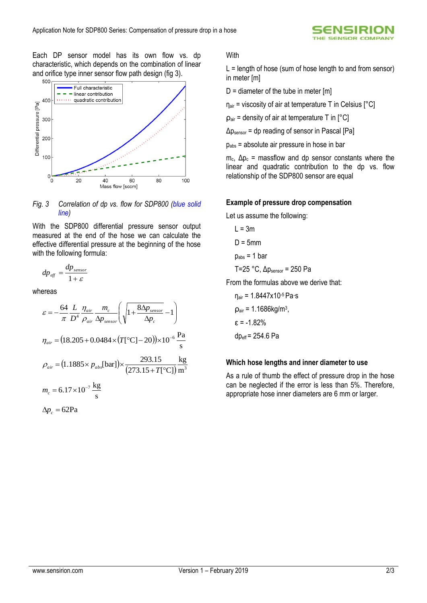JSIRI **SENSOR COMP** 

Each DP sensor model has its own flow vs. dp characteristic, which depends on the combination of linear and orifice type inner sensor flow path design (fig 3).



#### *Fig. 3 Correlation of dp vs. flow for SDP800 (blue solid line)*

With the SDP800 differential pressure sensor output measured at the end of the hose we can calculate the effective differential pressure at the beginning of the hose with the following formula:

$$
dp_{\text{eff}} = \frac{dp_{\text{sensor}}}{1+\varepsilon}
$$

whereas

$$
\varepsilon = -\frac{64}{\pi} \frac{L}{D^4} \frac{\eta_{air}}{\rho_{air}} \frac{m_c}{\Delta p_{sensor}} \left( \sqrt{1 + \frac{8\Delta p_{sensor}}{\Delta p_c}} - 1 \right)
$$
  

$$
\eta_{air} = (18.205 + 0.0484 \times (T[^{\circ}C] - 20)) \times 10^{-6} \frac{Pa}{s}
$$
  

$$
\rho_{air} = (1.1885 \times p_{abs}[bar]) \times \frac{293.15}{(273.15 + T[^{\circ}C])} \frac{kg}{m^3}
$$
  

$$
m_c = 6.17 \times 10^{-7} \frac{kg}{s}
$$
  

$$
\Delta p_c = 62 Pa
$$

**With** 

 $L =$  length of hose (sum of hose length to and from sensor) in meter [m]

 $D =$  diameter of the tube in meter  $[m]$ 

 $\eta_{air}$  = viscosity of air at temperature T in Celsius  $[^{\circ}C]$ 

 $p_{air}$  = density of air at temperature T in  $[^{\circ}C]$ 

 $\Delta p_{\text{sensor}}$  = dp reading of sensor in Pascal [Pa]

 $p_{\text{abs}}$  = absolute air pressure in hose in bar

 $m<sub>c</sub>$ ,  $Δp<sub>c</sub>$  = massflow and dp sensor constants where the linear and quadratic contribution to the dp vs. flow relationship of the SDP800 sensor are equal

#### **Example of pressure drop compensation**

Let us assume the following:

 $L = 3m$  $D = 5$ mm

 $p_{\text{abs}} = 1$  bar

$$
T=25
$$
 °C,  $\Delta p_{\text{sensor}} = 250$  Pa

From the formulas above we derive that:

$$
\eta_{air} = 1.8447x10^{-5} \text{ Pa·s}
$$
\n
$$
\rho_{air} = 1.1686 \text{kg/m}^3,
$$
\n
$$
\varepsilon = -1.82\%
$$
\n
$$
\text{dp}_{eff} = 254.6 \text{ Pa}
$$

#### **Which hose lengths and inner diameter to use**

As a rule of thumb the effect of pressure drop in the hose can be neglected if the error is less than 5%. Therefore, appropriate hose inner diameters are 6 mm or larger.